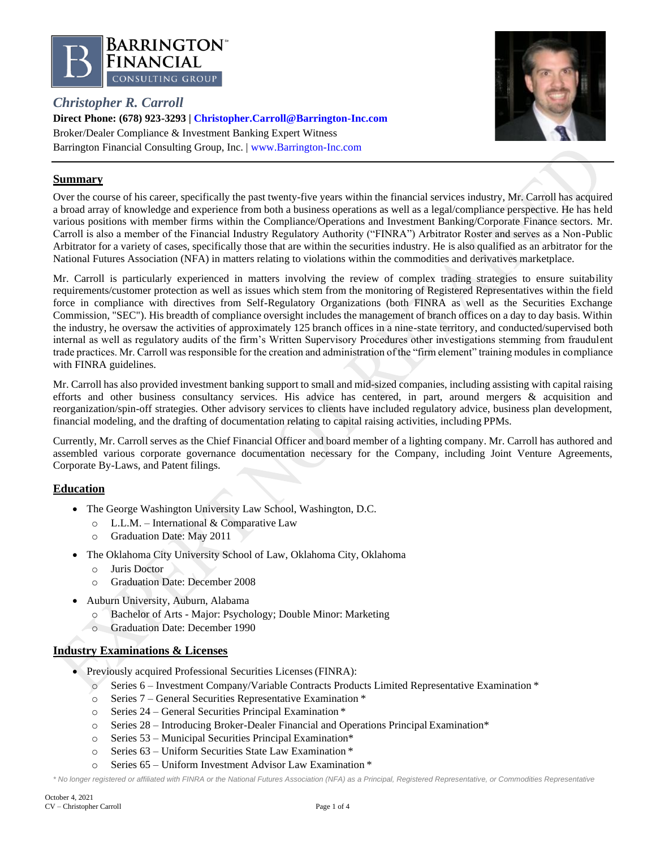

# *Christopher R. Carroll*



**Direct Phone: (678) 923-3293 | [Christopher.Carroll@Barrington-Inc.com](mailto:Christopher.Carroll@Barrington-Inc.com)** Broker/Dealer Compliance & Investment Banking Expert Witness Barrington Financial Consulting Group, Inc. | [www.Barrington-Inc.com](http://www.barrington-inc.com/)

# **Summary**

Over the course of his career, specifically the past twenty-five years within the financial services industry, Mr. Carroll has acquired a broad array of knowledge and experience from both a business operations as well as a legal/compliance perspective. He has held various positions with member firms within the Compliance/Operations and Investment Banking/Corporate Finance sectors. Mr. Carroll is also a member of the Financial Industry Regulatory Authority ("FINRA") Arbitrator Roster and serves as a Non-Public Arbitrator for a variety of cases, specifically those that are within the securities industry. He is also qualified as an arbitrator for the National Futures Association (NFA) in matters relating to violations within the commodities and derivatives marketplace.

Mr. Carroll is particularly experienced in matters involving the review of complex trading strategies to ensure suitability requirements/customer protection as well as issues which stem from the monitoring of Registered Representatives within the field force in compliance with directives from Self-Regulatory Organizations (both FINRA as well as the Securities Exchange Commission, "SEC"). His breadth of compliance oversight includes the management of branch offices on a day to day basis. Within the industry, he oversaw the activities of approximately 125 branch offices in a nine-state territory, and conducted/supervised both internal as well as regulatory audits of the firm's Written Supervisory Procedures other investigations stemming from fraudulent trade practices. Mr. Carroll was responsible for the creation and administration of the "firm element" training modules in compliance with FINRA guidelines.

Mr. Carroll has also provided investment banking support to small and mid-sized companies, including assisting with capital raising efforts and other business consultancy services. His advice has centered, in part, around mergers & acquisition and reorganization/spin-off strategies. Other advisory services to clients have included regulatory advice, business plan development, financial modeling, and the drafting of documentation relating to capital raising activities, including PPMs.

Currently, Mr. Carroll serves as the Chief Financial Officer and board member of a lighting company. Mr. Carroll has authored and assembled various corporate governance documentation necessary for the Company, including Joint Venture Agreements, Corporate By-Laws, and Patent filings.

# **Education**

- The George Washington University Law School, Washington, D.C.
	- o L.L.M. International & Comparative Law
	- o Graduation Date: May 2011
- The Oklahoma City University School of Law, Oklahoma City, Oklahoma
	- o Juris Doctor
	- o Graduation Date: December 2008
- Auburn University, Auburn, Alabama
	- o Bachelor of Arts Major: Psychology; Double Minor: Marketing
	- o Graduation Date: December 1990

# **Industry Examinations & Licenses**

- Previously acquired Professional Securities Licenses (FINRA):
	- o Series 6 Investment Company/Variable Contracts Products Limited Representative Examination \*
	- o Series 7 General Securities Representative Examination \*
	- o Series 24 General Securities Principal Examination \*
	- o Series 28 Introducing Broker-Dealer Financial and Operations Principal Examination\*
	- o Series 53 Municipal Securities Principal Examination\*
	- o Series 63 Uniform Securities State Law Examination \*
	- o Series 65 Uniform Investment Advisor Law Examination \*

*\* No longer registered or affiliated with FINRA or the National Futures Association (NFA) as a Principal, Registered Representative, or Commodities Representative*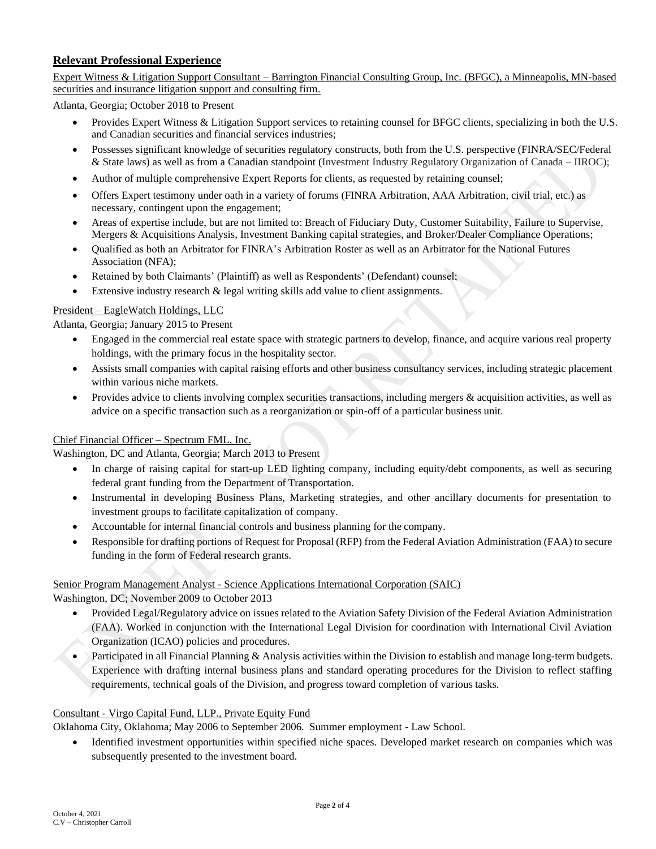# **Relevant Professional Experience**

Expert Witness & Litigation Support Consultant – Barrington Financial Consulting Group, Inc. (BFGC), a Minneapolis, MN-based securities and insurance litigation support and consulting firm.

Atlanta, Georgia; October 2018 to Present

- Provides Expert Witness & Litigation Support services to retaining counsel for BFGC clients, specializing in both the U.S. and Canadian securities and financial services industries;
- Possesses significant knowledge of securities regulatory constructs, both from the U.S. perspective (FINRA/SEC/Federal & State laws) as well as from a Canadian standpoint (Investment Industry Regulatory Organization of Canada – IIROC);
- Author of multiple comprehensive Expert Reports for clients, as requested by retaining counsel;
- Offers Expert testimony under oath in a variety of forums (FINRA Arbitration, AAA Arbitration, civil trial, etc.) as necessary, contingent upon the engagement;
- Areas of expertise include, but are not limited to: Breach of Fiduciary Duty, Customer Suitability, Failure to Supervise, Mergers & Acquisitions Analysis, Investment Banking capital strategies, and Broker/Dealer Compliance Operations;
- Qualified as both an Arbitrator for FINRA's Arbitration Roster as well as an Arbitrator for the National Futures Association (NFA);
- Retained by both Claimants' (Plaintiff) as well as Respondents' (Defendant) counsel;
- Extensive industry research & legal writing skills add value to client assignments.

### President – EagleWatch Holdings, LLC

Atlanta, Georgia; January 2015 to Present

- Engaged in the commercial real estate space with strategic partners to develop, finance, and acquire various real property holdings, with the primary focus in the hospitality sector.
- Assists small companies with capital raising efforts and other business consultancy services, including strategic placement within various niche markets.
- Provides advice to clients involving complex securities transactions, including mergers & acquisition activities, as well as advice on a specific transaction such as a reorganization or spin-off of a particular business unit.

### Chief Financial Officer – Spectrum FML, Inc.

Washington, DC and Atlanta, Georgia; March 2013 to Present

- In charge of raising capital for start-up LED lighting company, including equity/debt components, as well as securing federal grant funding from the Department of Transportation.
- Instrumental in developing Business Plans, Marketing strategies, and other ancillary documents for presentation to investment groups to facilitate capitalization of company.
- Accountable for internal financial controls and business planning for the company.
- Responsible for drafting portions of Request for Proposal (RFP) from the Federal Aviation Administration (FAA) to secure funding in the form of Federal research grants.

# Senior Program Management Analyst - Science Applications International Corporation (SAIC)

Washington, DC; November 2009 to October 2013

- Provided Legal/Regulatory advice on issues related to the Aviation Safety Division of the Federal Aviation Administration (FAA). Worked in conjunction with the International Legal Division for coordination with International Civil Aviation Organization (ICAO) policies and procedures.
- Participated in all Financial Planning & Analysis activities within the Division to establish and manage long-term budgets. Experience with drafting internal business plans and standard operating procedures for the Division to reflect staffing requirements, technical goals of the Division, and progress toward completion of various tasks.

### Consultant - Virgo Capital Fund, LLP., Private Equity Fund

Oklahoma City, Oklahoma; May 2006 to September 2006. Summer employment - Law School.

• Identified investment opportunities within specified niche spaces. Developed market research on companies which was subsequently presented to the investment board.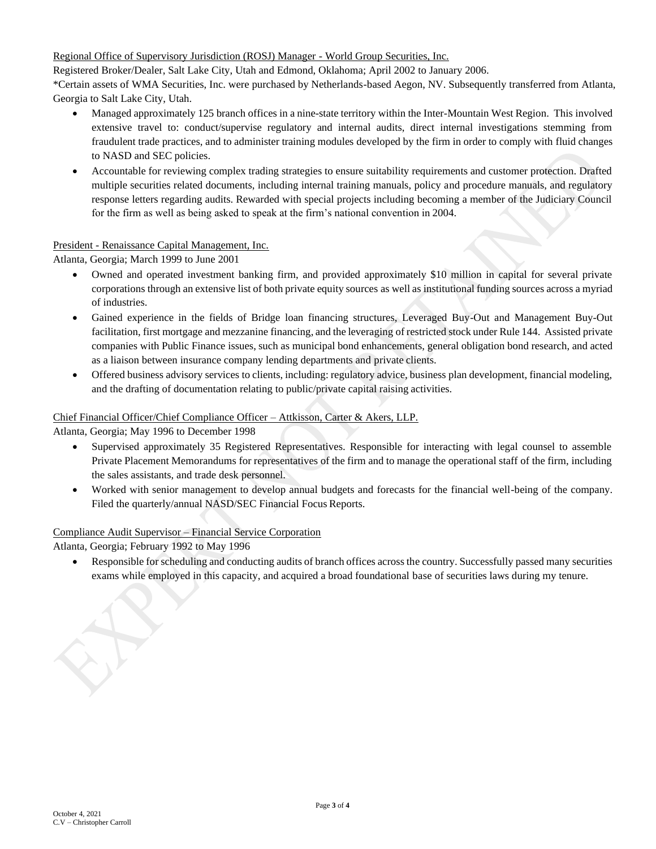Regional Office of Supervisory Jurisdiction (ROSJ) Manager - World Group Securities, Inc.

Registered Broker/Dealer, Salt Lake City, Utah and Edmond, Oklahoma; April 2002 to January 2006.

\*Certain assets of WMA Securities, Inc. were purchased by Netherlands-based Aegon, NV. Subsequently transferred from Atlanta, Georgia to Salt Lake City, Utah.

- Managed approximately 125 branch offices in a nine-state territory within the Inter-Mountain West Region. This involved extensive travel to: conduct/supervise regulatory and internal audits, direct internal investigations stemming from fraudulent trade practices, and to administer training modules developed by the firm in order to comply with fluid changes to NASD and SEC policies.
- Accountable for reviewing complex trading strategies to ensure suitability requirements and customer protection. Drafted multiple securities related documents, including internal training manuals, policy and procedure manuals, and regulatory response letters regarding audits. Rewarded with special projects including becoming a member of the Judiciary Council for the firm as well as being asked to speak at the firm's national convention in 2004.

# President - Renaissance Capital Management, Inc.

Atlanta, Georgia; March 1999 to June 2001

- Owned and operated investment banking firm, and provided approximately \$10 million in capital for several private corporations through an extensive list of both private equity sources as well as institutional funding sources across a myriad of industries.
- Gained experience in the fields of Bridge loan financing structures, Leveraged Buy-Out and Management Buy-Out facilitation, first mortgage and mezzanine financing, and the leveraging of restricted stock under Rule 144. Assisted private companies with Public Finance issues, such as municipal bond enhancements, general obligation bond research, and acted as a liaison between insurance company lending departments and private clients.
- Offered business advisory services to clients, including: regulatory advice, business plan development, financial modeling, and the drafting of documentation relating to public/private capital raising activities.

### Chief Financial Officer/Chief Compliance Officer – Attkisson, Carter & Akers, LLP.

Atlanta, Georgia; May 1996 to December 1998

- Supervised approximately 35 Registered Representatives. Responsible for interacting with legal counsel to assemble Private Placement Memorandums for representatives of the firm and to manage the operational staff of the firm, including the sales assistants, and trade desk personnel.
- Worked with senior management to develop annual budgets and forecasts for the financial well-being of the company. Filed the quarterly/annual NASD/SEC Financial Focus Reports.

### Compliance Audit Supervisor – Financial Service Corporation

Atlanta, Georgia; February 1992 to May 1996

• Responsible for scheduling and conducting audits of branch offices across the country. Successfully passed many securities exams while employed in this capacity, and acquired a broad foundational base of securities laws during my tenure.